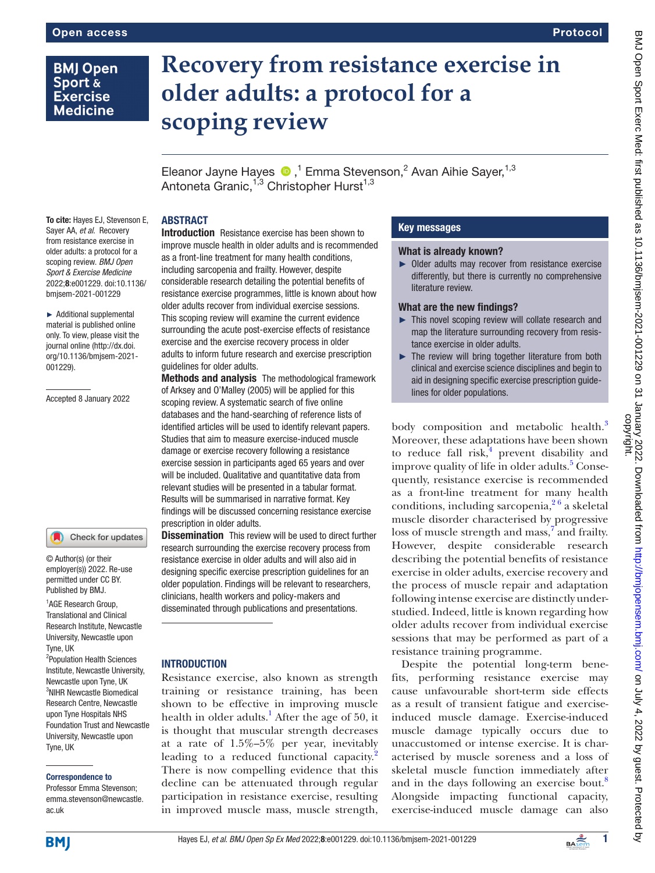# **BMJ Open** Sport & **Exercise Medicine**

# **Recovery from resistance exercise in older adults: a protocol for a scoping review**

EleanorJayne Hayes  $\bigcirc$ ,<sup>1</sup> Emma Stevenson,<sup>2</sup> Avan Aihie Sayer,<sup>1,3</sup> Antoneta Granic, $^{1,3}$  Christopher Hurst $^{1,3}$ 

# ABSTRACT

To cite: Hayes EJ, Stevenson E, Sayer AA, *et al*. Recovery from resistance exercise in older adults: a protocol for a scoping review. *BMJ Open Sport & Exercise Medicine* 2022;8:e001229. doi:10.1136/ bmjsem-2021-001229

► Additional supplemental material is published online only. To view, please visit the journal online ([http://dx.doi.](http://dx.doi.org/10.1136/bmjsem-2021-001229) [org/10.1136/bmjsem-2021-](http://dx.doi.org/10.1136/bmjsem-2021-001229) [001229](http://dx.doi.org/10.1136/bmjsem-2021-001229)).

Accepted 8 January 2022

#### Check for updates

© Author(s) (or their employer(s)) 2022. Re-use permitted under CC BY. Published by BMJ.

1 AGE Research Group, Translational and Clinical Research Institute, Newcastle University, Newcastle upon Tyne, UK

<sup>2</sup>Population Health Sciences Institute, Newcastle University, Newcastle upon Tyne, UK 3 NIHR Newcastle Biomedical Research Centre, Newcastle upon Tyne Hospitals NHS Foundation Trust and Newcastle University, Newcastle upon Tyne, UK

#### Correspondence to

Professor Emma Stevenson; emma.stevenson@newcastle. ac.uk

Introduction Resistance exercise has been shown to improve muscle health in older adults and is recommended as a front-line treatment for many health conditions, including sarcopenia and frailty. However, despite considerable research detailing the potential benefits of resistance exercise programmes, little is known about how older adults recover from individual exercise sessions. This scoping review will examine the current evidence surrounding the acute post-exercise effects of resistance exercise and the exercise recovery process in older adults to inform future research and exercise prescription guidelines for older adults.

Methods and analysis The methodological framework of Arksey and O'Malley (2005) will be applied for this scoping review. A systematic search of five online databases and the hand-searching of reference lists of identified articles will be used to identify relevant papers. Studies that aim to measure exercise-induced muscle damage or exercise recovery following a resistance exercise session in participants aged 65 years and over will be included. Qualitative and quantitative data from relevant studies will be presented in a tabular format. Results will be summarised in narrative format. Key findings will be discussed concerning resistance exercise prescription in older adults.

**Dissemination** This review will be used to direct further research surrounding the exercise recovery process from resistance exercise in older adults and will also aid in designing specific exercise prescription guidelines for an older population. Findings will be relevant to researchers, clinicians, health workers and policy-makers and disseminated through publications and presentations.

#### **INTRODUCTION**

Resistance exercise, also known as strength training or resistance training, has been shown to be effective in improving muscle health in older adults.<sup>1</sup> After the age of 50, it is thought that muscular strength decreases at a rate of 1.5%–5% per year, inevitably leading to a reduced functional capacity.<sup>2</sup> There is now compelling evidence that this decline can be attenuated through regular participation in resistance exercise, resulting in improved muscle mass, muscle strength,

# Key messages

#### What is already known?

► Older adults may recover from resistance exercise differently, but there is currently no comprehensive literature review.

#### What are the new findings?

- ► This novel scoping review will collate research and map the literature surrounding recovery from resistance exercise in older adults.
- ► The review will bring together literature from both clinical and exercise science disciplines and begin to aid in designing specific exercise prescription guidelines for older populations.

body composition and metabolic health.<sup>[3](#page-4-2)</sup> Moreover, these adaptations have been shown to reduce fall risk, $4$  prevent disability and improve quality of life in older adults.<sup>[5](#page-4-4)</sup> Consequently, resistance exercise is recommended as a front-line treatment for many health conditions, including sarcopenia,  $2<sup>6</sup>$  a skeletal muscle disorder characterised by progressive loss of muscle strength and mass,<sup>[7](#page-4-5)</sup> and frailty. However, despite considerable research describing the potential benefits of resistance exercise in older adults, exercise recovery and the process of muscle repair and adaptation following intense exercise are distinctly understudied. Indeed, little is known regarding how older adults recover from individual exercise sessions that may be performed as part of a resistance training programme.

Despite the potential long-term benefits, performing resistance exercise may cause unfavourable short-term side effects as a result of transient fatigue and exerciseinduced muscle damage. Exercise-induced muscle damage typically occurs due to unaccustomed or intense exercise. It is characterised by muscle soreness and a loss of skeletal muscle function immediately after and in the days following an exercise bout.<sup>[8](#page-4-6)</sup> Alongside impacting functional capacity, exercise-induced muscle damage can also

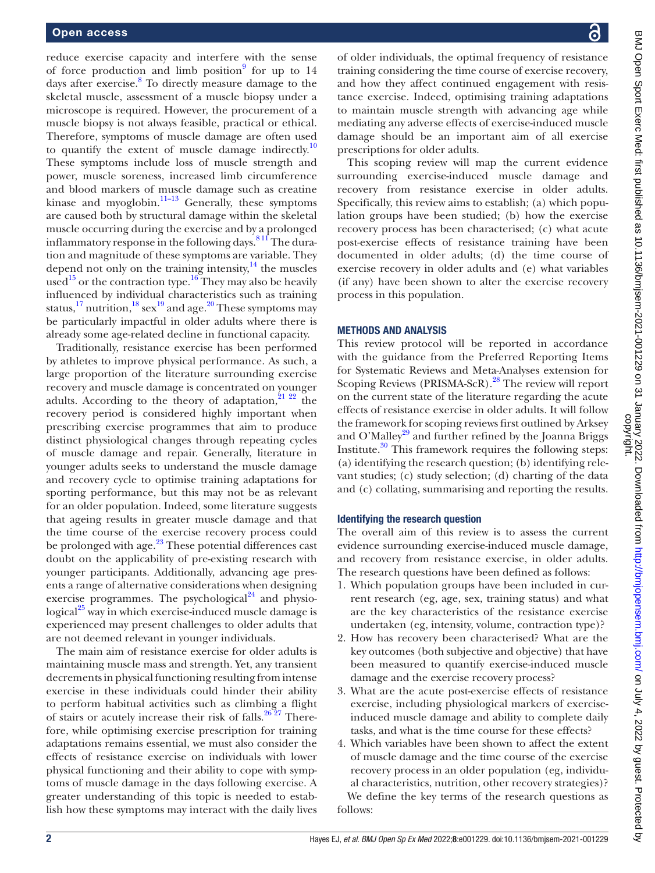reduce exercise capacity and interfere with the sense of force production and limb position $9$  for up to 14 days after exercise.<sup>[8](#page-4-6)</sup> To directly measure damage to the skeletal muscle, assessment of a muscle biopsy under a microscope is required. However, the procurement of a muscle biopsy is not always feasible, practical or ethical. Therefore, symptoms of muscle damage are often used to quantify the extent of muscle damage indirectly.<sup>[10](#page-4-8)</sup> These symptoms include loss of muscle strength and power, muscle soreness, increased limb circumference and blood markers of muscle damage such as creatine kinase and myoglobin. $11-13$  Generally, these symptoms are caused both by structural damage within the skeletal muscle occurring during the exercise and by a prolonged inflammatory response in the following days.  $811$  The duration and magnitude of these symptoms are variable. They depend not only on the training intensity, $^{14}$  the muscles used<sup>15</sup> or the contraction type.<sup>16</sup> They may also be heavily influenced by individual characteristics such as training status,  $^{17}$  nutrition,  $^{18}$  $^{18}$  $^{18}$  sex $^{19}$  and age.  $^{20}$  These symptoms may be particularly impactful in older adults where there is already some age-related decline in functional capacity.

Traditionally, resistance exercise has been performed by athletes to improve physical performance. As such, a large proportion of the literature surrounding exercise recovery and muscle damage is concentrated on younger adults. According to the theory of adaptation, $2^{122}$  the recovery period is considered highly important when prescribing exercise programmes that aim to produce distinct physiological changes through repeating cycles of muscle damage and repair. Generally, literature in younger adults seeks to understand the muscle damage and recovery cycle to optimise training adaptations for sporting performance, but this may not be as relevant for an older population. Indeed, some literature suggests that ageing results in greater muscle damage and that the time course of the exercise recovery process could be prolonged with age.<sup>23</sup> These potential differences cast doubt on the applicability of pre-existing research with younger participants. Additionally, advancing age presents a range of alternative considerations when designing exercise programmes. The psychological $^{24}$  and physio-logical<sup>[25](#page-4-20)</sup> way in which exercise-induced muscle damage is experienced may present challenges to older adults that are not deemed relevant in younger individuals.

The main aim of resistance exercise for older adults is maintaining muscle mass and strength. Yet, any transient decrements in physical functioning resulting from intense exercise in these individuals could hinder their ability to perform habitual activities such as climbing a flight of stairs or acutely increase their risk of falls. $26\frac{27}{7}$  Therefore, while optimising exercise prescription for training adaptations remains essential, we must also consider the effects of resistance exercise on individuals with lower physical functioning and their ability to cope with symptoms of muscle damage in the days following exercise. A greater understanding of this topic is needed to establish how these symptoms may interact with the daily lives

BMJ Open Sport Exerc Med: first published as 10.1136/bmjsem-2021-001229 on 31 January 2022. Downloaded from http://bmjopensem.bmj.com/ on July 4, 2022 by guest. Protected by<br>copyright. BMJ Open Sport Exerc Med: first published as 10.1136/bmjsem-2021-001229 on 31 January 2022. Downloaded from <http://bmjopensem.bmj.com/> on July 4, 2022 by guest. Protected by

of older individuals, the optimal frequency of resistance training considering the time course of exercise recovery, and how they affect continued engagement with resistance exercise. Indeed, optimising training adaptations to maintain muscle strength with advancing age while mediating any adverse effects of exercise-induced muscle damage should be an important aim of all exercise prescriptions for older adults.

This scoping review will map the current evidence surrounding exercise-induced muscle damage and recovery from resistance exercise in older adults. Specifically, this review aims to establish; (a) which population groups have been studied; (b) how the exercise recovery process has been characterised; (c) what acute post-exercise effects of resistance training have been documented in older adults; (d) the time course of exercise recovery in older adults and (e) what variables (if any) have been shown to alter the exercise recovery process in this population.

### METHODS AND ANALYSIS

This review protocol will be reported in accordance with the guidance from the Preferred Reporting Items for Systematic Reviews and Meta-Analyses extension for Scoping Reviews (PRISMA-ScR).<sup>28</sup> The review will report on the current state of the literature regarding the acute effects of resistance exercise in older adults. It will follow the framework for scoping reviews first outlined by Arksey and O'Malley<sup>29</sup> and further refined by the Joanna Briggs Institute.[30](#page-4-24) This framework requires the following steps: (a) identifying the research question; (b) identifying relevant studies; (c) study selection; (d) charting of the data and (c) collating, summarising and reporting the results.

### Identifying the research question

The overall aim of this review is to assess the current evidence surrounding exercise-induced muscle damage, and recovery from resistance exercise, in older adults. The research questions have been defined as follows:

- 1. Which population groups have been included in current research (eg, age, sex, training status) and what are the key characteristics of the resistance exercise undertaken (eg, intensity, volume, contraction type)?
- 2. How has recovery been characterised? What are the key outcomes (both subjective and objective) that have been measured to quantify exercise-induced muscle damage and the exercise recovery process?
- 3. What are the acute post-exercise effects of resistance exercise, including physiological markers of exerciseinduced muscle damage and ability to complete daily tasks, and what is the time course for these effects?
- 4. Which variables have been shown to affect the extent of muscle damage and the time course of the exercise recovery process in an older population (eg, individual characteristics, nutrition, other recovery strategies)? We define the key terms of the research questions as follows: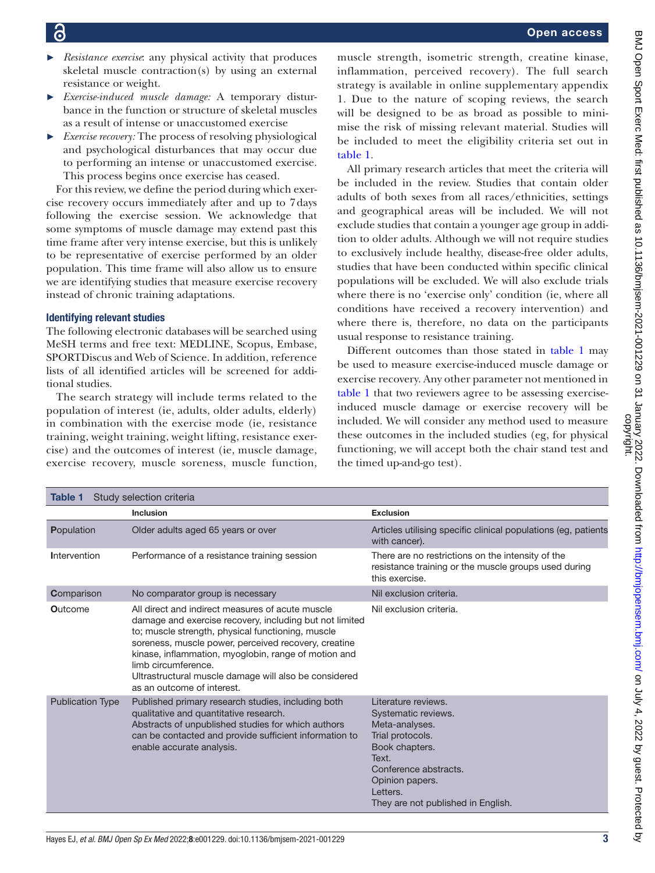- 
- *Resistance exercise*: any physical activity that produces skeletal muscle contraction(s) by using an external resistance or weight.
- ► *Exercise-induced muscle damage:* A temporary disturbance in the function or structure of skeletal muscles as a result of intense or unaccustomed exercise
- *Exercise recovery:* The process of resolving physiological and psychological disturbances that may occur due to performing an intense or unaccustomed exercise. This process begins once exercise has ceased.

For this review, we define the period during which exercise recovery occurs immediately after and up to 7days following the exercise session. We acknowledge that some symptoms of muscle damage may extend past this time frame after very intense exercise, but this is unlikely to be representative of exercise performed by an older population. This time frame will also allow us to ensure we are identifying studies that measure exercise recovery instead of chronic training adaptations.

# Identifying relevant studies

The following electronic databases will be searched using MeSH terms and free text: MEDLINE, Scopus, Embase, SPORTDiscus and Web of Science. In addition, reference lists of all identified articles will be screened for additional studies.

The search strategy will include terms related to the population of interest (ie, adults, older adults, elderly) in combination with the exercise mode (ie, resistance training, weight training, weight lifting, resistance exercise) and the outcomes of interest (ie, muscle damage, exercise recovery, muscle soreness, muscle function,

muscle strength, isometric strength, creatine kinase, inflammation, perceived recovery). The full search strategy is available in [online supplementary appendix](https://dx.doi.org/10.1136/bmjsem-2021-001229) [1](https://dx.doi.org/10.1136/bmjsem-2021-001229). Due to the nature of scoping reviews, the search will be designed to be as broad as possible to minimise the risk of missing relevant material. Studies will be included to meet the eligibility criteria set out in [table](#page-2-0) 1.

All primary research articles that meet the criteria will be included in the review. Studies that contain older adults of both sexes from all races/ethnicities, settings and geographical areas will be included. We will not exclude studies that contain a younger age group in addition to older adults. Although we will not require studies to exclusively include healthy, disease-free older adults, studies that have been conducted within specific clinical populations will be excluded. We will also exclude trials where there is no 'exercise only' condition (ie, where all conditions have received a recovery intervention) and where there is, therefore, no data on the participants usual response to resistance training.

Different outcomes than those stated in [table](#page-2-0) 1 may be used to measure exercise-induced muscle damage or exercise recovery. Any other parameter not mentioned in [table](#page-2-0) 1 that two reviewers agree to be assessing exerciseinduced muscle damage or exercise recovery will be included. We will consider any method used to measure these outcomes in the included studies (eg, for physical functioning, we will accept both the chair stand test and the timed up-and-go test).

<span id="page-2-0"></span>

| Study selection criteria<br>Table 1 |                                                                                                                                                                                                                                                                                                                                                                                                |                                                                                                                                                                                                           |
|-------------------------------------|------------------------------------------------------------------------------------------------------------------------------------------------------------------------------------------------------------------------------------------------------------------------------------------------------------------------------------------------------------------------------------------------|-----------------------------------------------------------------------------------------------------------------------------------------------------------------------------------------------------------|
|                                     | <b>Inclusion</b>                                                                                                                                                                                                                                                                                                                                                                               | <b>Exclusion</b>                                                                                                                                                                                          |
| Population                          | Older adults aged 65 years or over                                                                                                                                                                                                                                                                                                                                                             | Articles utilising specific clinical populations (eg. patients<br>with cancer).                                                                                                                           |
| Intervention                        | Performance of a resistance training session                                                                                                                                                                                                                                                                                                                                                   | There are no restrictions on the intensity of the<br>resistance training or the muscle groups used during<br>this exercise.                                                                               |
| Comparison                          | No comparator group is necessary                                                                                                                                                                                                                                                                                                                                                               | Nil exclusion criteria.                                                                                                                                                                                   |
| <b>Outcome</b>                      | All direct and indirect measures of acute muscle<br>damage and exercise recovery, including but not limited<br>to; muscle strength, physical functioning, muscle<br>soreness, muscle power, perceived recovery, creatine<br>kinase, inflammation, myoglobin, range of motion and<br>limb circumference.<br>Ultrastructural muscle damage will also be considered<br>as an outcome of interest. | Nil exclusion criteria.                                                                                                                                                                                   |
| <b>Publication Type</b>             | Published primary research studies, including both<br>qualitative and quantitative research.<br>Abstracts of unpublished studies for which authors<br>can be contacted and provide sufficient information to<br>enable accurate analysis.                                                                                                                                                      | Literature reviews.<br>Systematic reviews.<br>Meta-analyses.<br>Trial protocols.<br>Book chapters.<br>Text.<br>Conference abstracts.<br>Opinion papers.<br>Letters.<br>They are not published in English. |

BMJ Open Sport Exerc Med: first published as 10.1136/bmjsem-2021-001229 on 31 January 2022. Downloaded from http://bmjopensem.bmj.com/ on July 4, 2022 by guest. Protected by<br>copyright. BMJ Open Sport Exerc Med: first published as 10.1136/bmjsem-2021-001229 on 31 January 2022. Downloaded from <http://bmjopensem.bmj.com/> on July 4, 2022 by guest. Protected by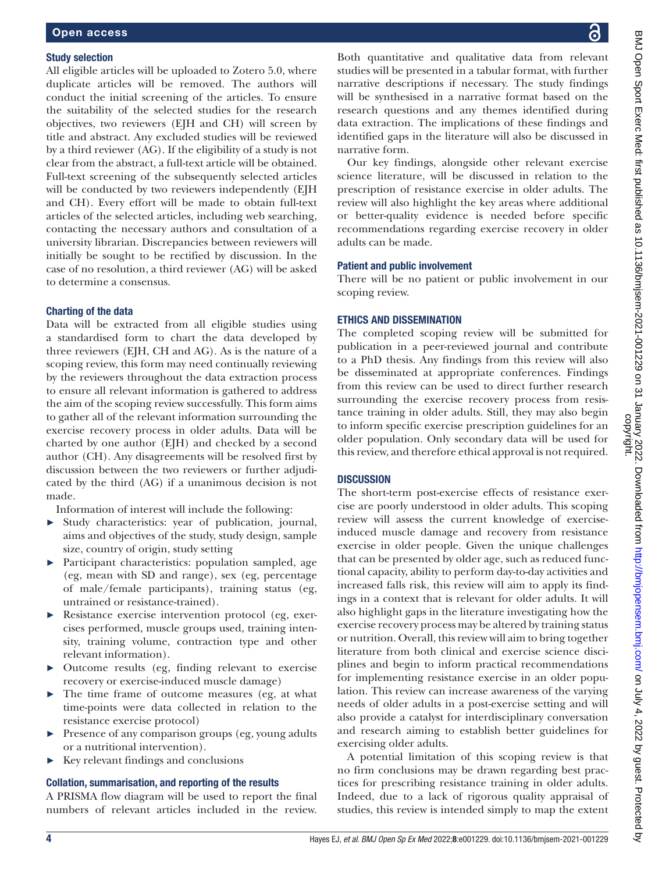#### Study selection

All eligible articles will be uploaded to Zotero 5.0, where duplicate articles will be removed. The authors will conduct the initial screening of the articles. To ensure the suitability of the selected studies for the research objectives, two reviewers (EJH and CH) will screen by title and abstract. Any excluded studies will be reviewed by a third reviewer (AG). If the eligibility of a study is not clear from the abstract, a full-text article will be obtained. Full-text screening of the subsequently selected articles will be conducted by two reviewers independently (EJH) and CH). Every effort will be made to obtain full-text articles of the selected articles, including web searching, contacting the necessary authors and consultation of a university librarian. Discrepancies between reviewers will initially be sought to be rectified by discussion. In the case of no resolution, a third reviewer (AG) will be asked to determine a consensus.

#### Charting of the data

Data will be extracted from all eligible studies using a standardised form to chart the data developed by three reviewers (EJH, CH and AG). As is the nature of a scoping review, this form may need continually reviewing by the reviewers throughout the data extraction process to ensure all relevant information is gathered to address the aim of the scoping review successfully. This form aims to gather all of the relevant information surrounding the exercise recovery process in older adults. Data will be charted by one author (EJH) and checked by a second author (CH). Any disagreements will be resolved first by discussion between the two reviewers or further adjudicated by the third (AG) if a unanimous decision is not made.

Information of interest will include the following:

- ► Study characteristics: year of publication, journal, aims and objectives of the study, study design, sample size, country of origin, study setting
- ► Participant characteristics: population sampled, age (eg, mean with SD and range), sex (eg, percentage of male/female participants), training status (eg, untrained or resistance-trained).
- Resistance exercise intervention protocol (eg, exercises performed, muscle groups used, training intensity, training volume, contraction type and other relevant information).
- ► Outcome results (eg, finding relevant to exercise recovery or exercise-induced muscle damage)
- The time frame of outcome measures (eg, at what time-points were data collected in relation to the resistance exercise protocol)
- ► Presence of any comparison groups (eg, young adults or a nutritional intervention).
- ► Key relevant findings and conclusions

#### Collation, summarisation, and reporting of the results

A PRISMA flow diagram will be used to report the final numbers of relevant articles included in the review.

Both quantitative and qualitative data from relevant studies will be presented in a tabular format, with further narrative descriptions if necessary. The study findings will be synthesised in a narrative format based on the research questions and any themes identified during data extraction. The implications of these findings and identified gaps in the literature will also be discussed in narrative form.

Our key findings, alongside other relevant exercise science literature, will be discussed in relation to the prescription of resistance exercise in older adults. The review will also highlight the key areas where additional or better-quality evidence is needed before specific recommendations regarding exercise recovery in older adults can be made.

### Patient and public involvement

There will be no patient or public involvement in our scoping review.

#### ETHICS AND DISSEMINATION

The completed scoping review will be submitted for publication in a peer-reviewed journal and contribute to a PhD thesis. Any findings from this review will also be disseminated at appropriate conferences. Findings from this review can be used to direct further research surrounding the exercise recovery process from resistance training in older adults. Still, they may also begin to inform specific exercise prescription guidelines for an older population. Only secondary data will be used for this review, and therefore ethical approval is not required.

# **DISCUSSION**

The short-term post-exercise effects of resistance exercise are poorly understood in older adults. This scoping review will assess the current knowledge of exerciseinduced muscle damage and recovery from resistance exercise in older people. Given the unique challenges that can be presented by older age, such as reduced functional capacity, ability to perform day-to-day activities and increased falls risk, this review will aim to apply its findings in a context that is relevant for older adults. It will also highlight gaps in the literature investigating how the exercise recovery process may be altered by training status or nutrition. Overall, this review will aim to bring together literature from both clinical and exercise science disciplines and begin to inform practical recommendations for implementing resistance exercise in an older population. This review can increase awareness of the varying needs of older adults in a post-exercise setting and will also provide a catalyst for interdisciplinary conversation and research aiming to establish better guidelines for exercising older adults.

A potential limitation of this scoping review is that no firm conclusions may be drawn regarding best practices for prescribing resistance training in older adults. Indeed, due to a lack of rigorous quality appraisal of studies, this review is intended simply to map the extent